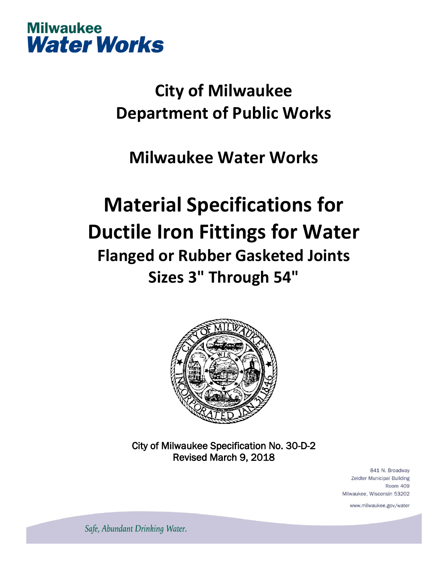

## **City of Milwaukee Department of Public Works**

### **Milwaukee Water Works**

# **Material Specifications for Ductile Iron Fittings for Water Flanged or Rubber Gasketed Joints Sizes 3" Through 54"**



City of Milwaukee Specification No. 30-D-2 Revised March 9, 2018

> 841 N. Broadway Zeidler Municipal Building **Room 409** Milwaukee, Wisconsin 53202

> > www.milwaukee.gov/water

Safe, Abundant Drinking Water.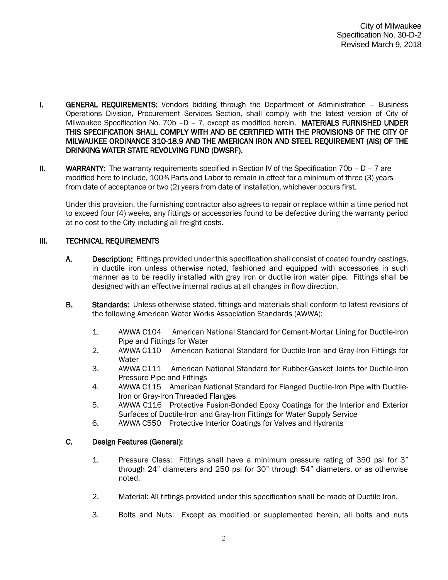- I. **GENERAL REQUIREMENTS:** Vendors bidding through the Department of Administration Business Operations Division, Procurement Services Section, shall comply with the latest version of City of Milwaukee Specification No. 70b -D - 7, except as modified herein. MATERIALS FURNISHED UNDER THIS SPECIFICATION SHALL COMPLY WITH AND BE CERTIFIED WITH THE PROVISIONS OF THE CITY OF MILWAUKEE ORDINANCE 310-18.9 AND THE AMERICAN IRON AND STEEL REQUIREMENT (AIS) OF THE DRINKING WATER STATE REVOLVING FUND (DWSRF).
- II. WARRANTY: The warranty requirements specified in Section IV of the Specification  $70b D 7$  are modified here to include, 100% Parts and Labor to remain in effect for a minimum of three (3) years from date of acceptance or two (2) years from date of installation, whichever occurs first.

Under this provision, the furnishing contractor also agrees to repair or replace within a time period not to exceed four (4) weeks, any fittings or accessories found to be defective during the warranty period at no cost to the City including all freight costs.

#### III. TECHNICAL REQUIREMENTS

- A. Description: Fittings provided under this specification shall consist of coated foundry castings, in ductile iron unless otherwise noted, fashioned and equipped with accessories in such manner as to be readily installed with gray iron or ductile iron water pipe. Fittings shall be designed with an effective internal radius at all changes in flow direction.
- B. Standards: Unless otherwise stated, fittings and materials shall conform to latest revisions of the following American Water Works Association Standards (AWWA):
	- 1. AWWA C104 American National Standard for Cement-Mortar Lining for Ductile-Iron Pipe and Fittings for Water
	- 2. AWWA C110 American National Standard for Ductile-Iron and Gray-Iron Fittings for Water
	- 3. AWWA C111 American National Standard for Rubber-Gasket Joints for Ductile-Iron Pressure Pipe and Fittings
	- 4. AWWA C115 American National Standard for Flanged Ductile-Iron Pipe with Ductile-Iron or Gray-Iron Threaded Flanges
	- 5. AWWA C116 Protective Fusion-Bonded Epoxy Coatings for the Interior and Exterior Surfaces of Ductile-Iron and Gray-Iron Fittings for Water Supply Service
	- 6. AWWA C550 Protective Interior Coatings for Valves and Hydrants

#### C. Design Features (General):

- 1. Pressure Class: Fittings shall have a minimum pressure rating of 350 psi for 3" through 24" diameters and 250 psi for 30" through 54" diameters, or as otherwise noted.
- 2. Material: All fittings provided under this specification shall be made of Ductile Iron.
- 3. Bolts and Nuts: Except as modified or supplemented herein, all bolts and nuts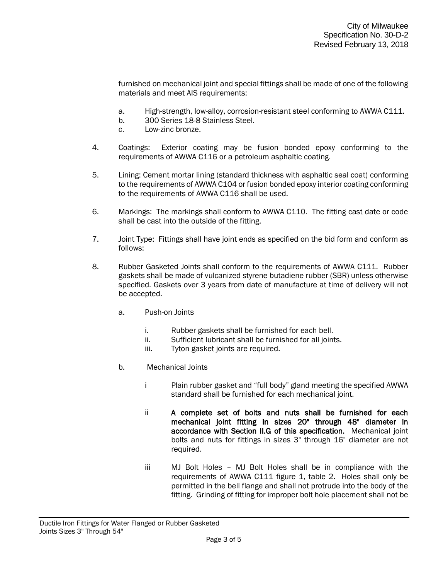furnished on mechanical joint and special fittings shall be made of one of the following materials and meet AIS requirements:

- a. High-strength, low-alloy, corrosion-resistant steel conforming to AWWA C111.
- b. 300 Series 18-8 Stainless Steel.
- c. Low-zinc bronze.
- 4. Coatings: Exterior coating may be fusion bonded epoxy conforming to the requirements of AWWA C116 or a petroleum asphaltic coating.
- 5. Lining: Cement mortar lining (standard thickness with asphaltic seal coat) conforming to the requirements of AWWA C104 or fusion bonded epoxy interior coating conforming to the requirements of AWWA C116 shall be used.
- 6. Markings: The markings shall conform to AWWA C110. The fitting cast date or code shall be cast into the outside of the fitting.
- 7. Joint Type: Fittings shall have joint ends as specified on the bid form and conform as follows:
- 8. Rubber Gasketed Joints shall conform to the requirements of AWWA C111. Rubber gaskets shall be made of vulcanized styrene butadiene rubber (SBR) unless otherwise specified. Gaskets over 3 years from date of manufacture at time of delivery will not be accepted.
	- a. Push-on Joints
		- i. Rubber gaskets shall be furnished for each bell.
		- ii. Sufficient lubricant shall be furnished for all joints.
		- iii. Tyton gasket joints are required.
	- b. Mechanical Joints
		- i Plain rubber gasket and "full body" gland meeting the specified AWWA standard shall be furnished for each mechanical joint.
		- ii A complete set of bolts and nuts shall be furnished for each mechanical joint fitting in sizes 20" through 48" diameter in accordance with Section II.G of this specification. Mechanical joint bolts and nuts for fittings in sizes 3" through 16" diameter are not required.
		- iii MJ Bolt Holes MJ Bolt Holes shall be in compliance with the requirements of AWWA C111 figure 1, table 2. Holes shall only be permitted in the bell flange and shall not protrude into the body of the fitting. Grinding of fitting for improper bolt hole placement shall not be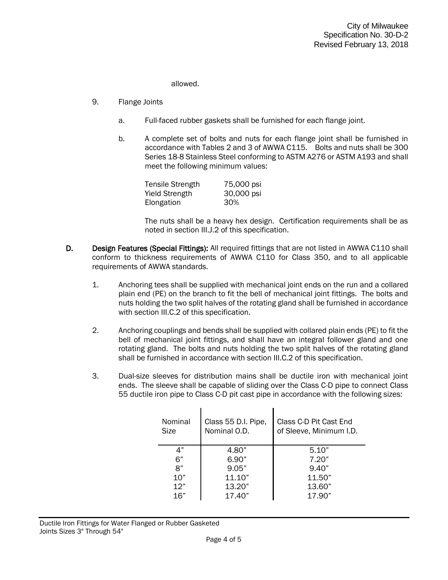allowed.

- 9. Flange Joints
	- a. Full-faced rubber gaskets shall be furnished for each flange joint.
	- b. A complete set of bolts and nuts for each flange joint shall be furnished in accordance with Tables 2 and 3 of AWWA C115. Bolts and nuts shall be 300 Series 18-8 Stainless Steel conforming to ASTM A276 or ASTM A193 and shall meet the following minimum values:

| <b>Tensile Strength</b> | 75,000 psi |
|-------------------------|------------|
| <b>Yield Strength</b>   | 30,000 psi |
| Elongation              | 30%        |

The nuts shall be a heavy hex design. Certification requirements shall be as noted in section III.J.2 of this specification.

- D. Design Features (Special Fittings): All required fittings that are not listed in AWWA C110 shall conform to thickness requirements of AWWA C110 for Class 350, and to all applicable requirements of AWWA standards.
	- 1. Anchoring tees shall be supplied with mechanical joint ends on the run and a collared plain end (PE) on the branch to fit the bell of mechanical joint fittings. The bolts and nuts holding the two split halves of the rotating gland shall be furnished in accordance with section III.C.2 of this specification.
	- 2. Anchoring couplings and bends shall be supplied with collared plain ends (PE) to fit the bell of mechanical joint fittings, and shall have an integral follower gland and one rotating gland. The bolts and nuts holding the two split halves of the rotating gland shall be furnished in accordance with section III.C.2 of this specification.
	- 3. Dual-size sleeves for distribution mains shall be ductile iron with mechanical joint ends. The sleeve shall be capable of sliding over the Class C-D pipe to connect Class 55 ductile iron pipe to Class C-D pit cast pipe in accordance with the following sizes:

| Nominal<br>Size | Class 55 D.I. Pipe,<br>Nominal O.D. | Class C-D Pit Cast End<br>of Sleeve, Minimum I.D. |
|-----------------|-------------------------------------|---------------------------------------------------|
| 4"              | 4.80"                               | 5.10"                                             |
| 6"              | 6.90"                               | 7.20"                                             |
| 8"              | 9.05"                               | 9.40"                                             |
| 10"             | 11.10"                              | 11.50"                                            |
| 12"             | 13.20"                              | 13.60"                                            |
| 16"             | 17.40"                              | 17.90"                                            |